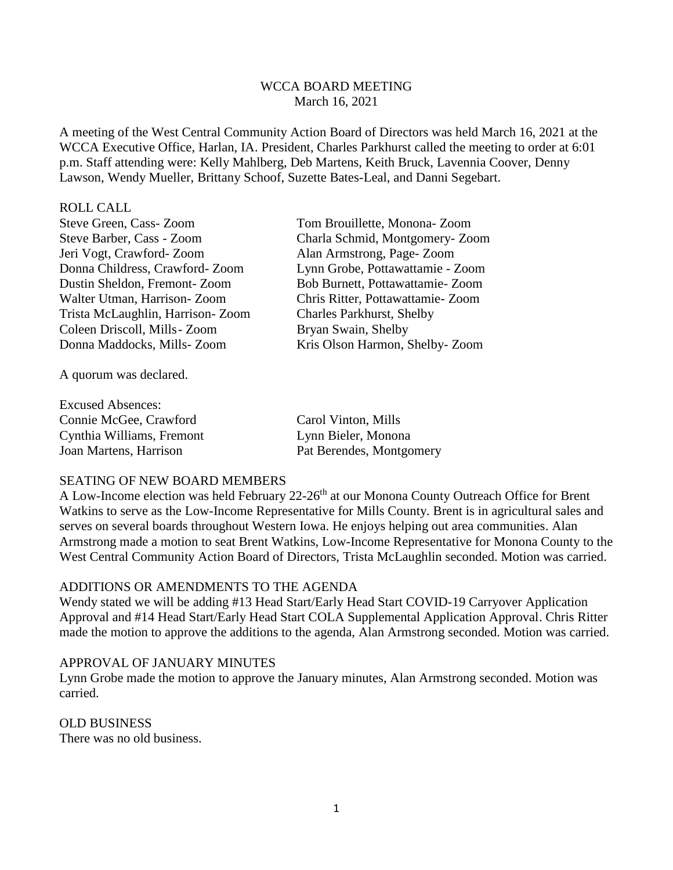## WCCA BOARD MEETING March 16, 2021

A meeting of the West Central Community Action Board of Directors was held March 16, 2021 at the WCCA Executive Office, Harlan, IA. President, Charles Parkhurst called the meeting to order at 6:01 p.m. Staff attending were: Kelly Mahlberg, Deb Martens, Keith Bruck, Lavennia Coover, Denny Lawson, Wendy Mueller, Brittany Schoof, Suzette Bates-Leal, and Danni Segebart.

#### ROLL CALL

Steve Green, Cass- Zoom Tom Brouillette, Monona- Zoom Jeri Vogt, Crawford- Zoom Alan Armstrong, Page- Zoom Donna Childress, Crawford- Zoom Lynn Grobe, Pottawattamie - Zoom Dustin Sheldon, Fremont- Zoom Bob Burnett, Pottawattamie- Zoom Walter Utman, Harrison- Zoom Chris Ritter, Pottawattamie- Zoom Trista McLaughlin, Harrison- Zoom Charles Parkhurst, Shelby Coleen Driscoll, Mills-Zoom Bryan Swain, Shelby

A quorum was declared.

Excused Absences: Connie McGee, Crawford Carol Vinton, Mills Cynthia Williams, Fremont Lynn Bieler, Monona Joan Martens, Harrison Pat Berendes, Montgomery

Steve Barber, Cass - Zoom Charla Schmid, Montgomery- Zoom Donna Maddocks, Mills- Zoom Kris Olson Harmon, Shelby- Zoom

#### SEATING OF NEW BOARD MEMBERS

A Low-Income election was held February 22-26<sup>th</sup> at our Monona County Outreach Office for Brent Watkins to serve as the Low-Income Representative for Mills County. Brent is in agricultural sales and serves on several boards throughout Western Iowa. He enjoys helping out area communities. Alan Armstrong made a motion to seat Brent Watkins, Low-Income Representative for Monona County to the West Central Community Action Board of Directors, Trista McLaughlin seconded. Motion was carried.

#### ADDITIONS OR AMENDMENTS TO THE AGENDA

Wendy stated we will be adding #13 Head Start/Early Head Start COVID-19 Carryover Application Approval and #14 Head Start/Early Head Start COLA Supplemental Application Approval. Chris Ritter made the motion to approve the additions to the agenda, Alan Armstrong seconded. Motion was carried.

#### APPROVAL OF JANUARY MINUTES

Lynn Grobe made the motion to approve the January minutes, Alan Armstrong seconded. Motion was carried.

#### OLD BUSINESS

There was no old business.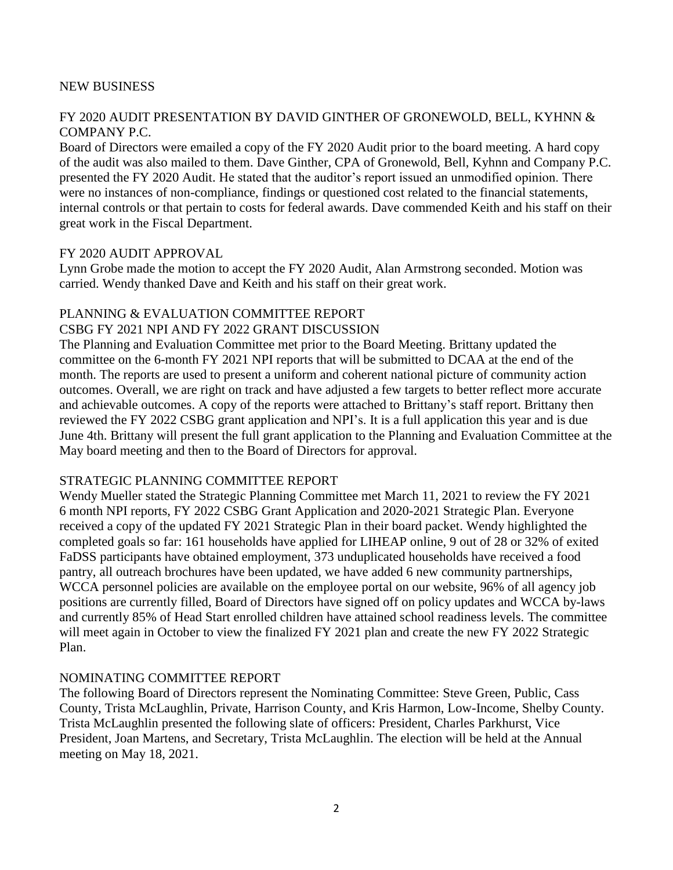#### NEW BUSINESS

# FY 2020 AUDIT PRESENTATION BY DAVID GINTHER OF GRONEWOLD, BELL, KYHNN & COMPANY P.C.

Board of Directors were emailed a copy of the FY 2020 Audit prior to the board meeting. A hard copy of the audit was also mailed to them. Dave Ginther, CPA of Gronewold, Bell, Kyhnn and Company P.C. presented the FY 2020 Audit. He stated that the auditor's report issued an unmodified opinion. There were no instances of non-compliance, findings or questioned cost related to the financial statements, internal controls or that pertain to costs for federal awards. Dave commended Keith and his staff on their great work in the Fiscal Department.

## FY 2020 AUDIT APPROVAL

Lynn Grobe made the motion to accept the FY 2020 Audit, Alan Armstrong seconded. Motion was carried. Wendy thanked Dave and Keith and his staff on their great work.

#### PLANNING & EVALUATION COMMITTEE REPORT

## CSBG FY 2021 NPI AND FY 2022 GRANT DISCUSSION

The Planning and Evaluation Committee met prior to the Board Meeting. Brittany updated the committee on the 6-month FY 2021 NPI reports that will be submitted to DCAA at the end of the month. The reports are used to present a uniform and coherent national picture of community action outcomes. Overall, we are right on track and have adjusted a few targets to better reflect more accurate and achievable outcomes. A copy of the reports were attached to Brittany's staff report. Brittany then reviewed the FY 2022 CSBG grant application and NPI's. It is a full application this year and is due June 4th. Brittany will present the full grant application to the Planning and Evaluation Committee at the May board meeting and then to the Board of Directors for approval.

#### STRATEGIC PLANNING COMMITTEE REPORT

Wendy Mueller stated the Strategic Planning Committee met March 11, 2021 to review the FY 2021 6 month NPI reports, FY 2022 CSBG Grant Application and 2020-2021 Strategic Plan. Everyone received a copy of the updated FY 2021 Strategic Plan in their board packet. Wendy highlighted the completed goals so far: 161 households have applied for LIHEAP online, 9 out of 28 or 32% of exited FaDSS participants have obtained employment, 373 unduplicated households have received a food pantry, all outreach brochures have been updated, we have added 6 new community partnerships, WCCA personnel policies are available on the employee portal on our website, 96% of all agency job positions are currently filled, Board of Directors have signed off on policy updates and WCCA by-laws and currently 85% of Head Start enrolled children have attained school readiness levels. The committee will meet again in October to view the finalized FY 2021 plan and create the new FY 2022 Strategic Plan.

#### NOMINATING COMMITTEE REPORT

The following Board of Directors represent the Nominating Committee: Steve Green, Public, Cass County, Trista McLaughlin, Private, Harrison County, and Kris Harmon, Low-Income, Shelby County. Trista McLaughlin presented the following slate of officers: President, Charles Parkhurst, Vice President, Joan Martens, and Secretary, Trista McLaughlin. The election will be held at the Annual meeting on May 18, 2021.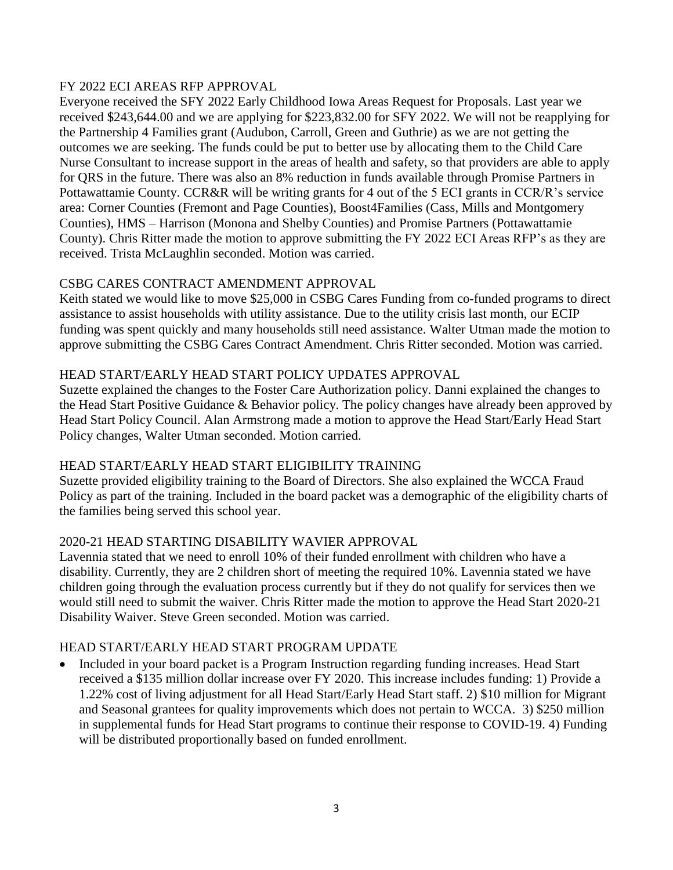## FY 2022 ECI AREAS RFP APPROVAL

Everyone received the SFY 2022 Early Childhood Iowa Areas Request for Proposals. Last year we received \$243,644.00 and we are applying for \$223,832.00 for SFY 2022. We will not be reapplying for the Partnership 4 Families grant (Audubon, Carroll, Green and Guthrie) as we are not getting the outcomes we are seeking. The funds could be put to better use by allocating them to the Child Care Nurse Consultant to increase support in the areas of health and safety, so that providers are able to apply for QRS in the future. There was also an 8% reduction in funds available through Promise Partners in Pottawattamie County. CCR&R will be writing grants for 4 out of the 5 ECI grants in CCR/R's service area: Corner Counties (Fremont and Page Counties), Boost4Families (Cass, Mills and Montgomery Counties), HMS – Harrison (Monona and Shelby Counties) and Promise Partners (Pottawattamie County). Chris Ritter made the motion to approve submitting the FY 2022 ECI Areas RFP's as they are received. Trista McLaughlin seconded. Motion was carried.

# CSBG CARES CONTRACT AMENDMENT APPROVAL

Keith stated we would like to move \$25,000 in CSBG Cares Funding from co-funded programs to direct assistance to assist households with utility assistance. Due to the utility crisis last month, our ECIP funding was spent quickly and many households still need assistance. Walter Utman made the motion to approve submitting the CSBG Cares Contract Amendment. Chris Ritter seconded. Motion was carried.

# HEAD START/EARLY HEAD START POLICY UPDATES APPROVAL

Suzette explained the changes to the Foster Care Authorization policy. Danni explained the changes to the Head Start Positive Guidance & Behavior policy. The policy changes have already been approved by Head Start Policy Council. Alan Armstrong made a motion to approve the Head Start/Early Head Start Policy changes, Walter Utman seconded. Motion carried.

# HEAD START/EARLY HEAD START ELIGIBILITY TRAINING

Suzette provided eligibility training to the Board of Directors. She also explained the WCCA Fraud Policy as part of the training. Included in the board packet was a demographic of the eligibility charts of the families being served this school year.

# 2020-21 HEAD STARTING DISABILITY WAVIER APPROVAL

Lavennia stated that we need to enroll 10% of their funded enrollment with children who have a disability. Currently, they are 2 children short of meeting the required 10%. Lavennia stated we have children going through the evaluation process currently but if they do not qualify for services then we would still need to submit the waiver. Chris Ritter made the motion to approve the Head Start 2020-21 Disability Waiver. Steve Green seconded. Motion was carried.

# HEAD START/EARLY HEAD START PROGRAM UPDATE

 Included in your board packet is a Program Instruction regarding funding increases. Head Start received a \$135 million dollar increase over FY 2020. This increase includes funding: 1) Provide a 1.22% cost of living adjustment for all Head Start/Early Head Start staff. 2) \$10 million for Migrant and Seasonal grantees for quality improvements which does not pertain to WCCA. 3) \$250 million in supplemental funds for Head Start programs to continue their response to COVID-19. 4) Funding will be distributed proportionally based on funded enrollment.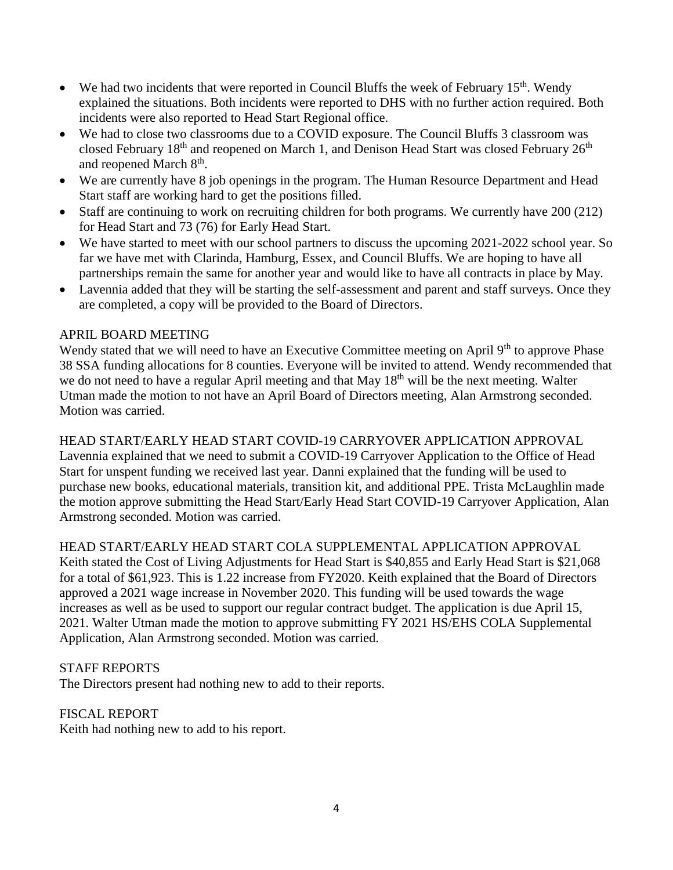- We had two incidents that were reported in Council Bluffs the week of February  $15<sup>th</sup>$ . Wendy explained the situations. Both incidents were reported to DHS with no further action required. Both incidents were also reported to Head Start Regional office.
- We had to close two classrooms due to a COVID exposure. The Council Bluffs 3 classroom was closed February  $18<sup>th</sup>$  and reopened on March 1, and Denison Head Start was closed February  $26<sup>th</sup>$ and reopened March 8<sup>th</sup>.
- We are currently have 8 job openings in the program. The Human Resource Department and Head Start staff are working hard to get the positions filled.
- Staff are continuing to work on recruiting children for both programs. We currently have 200 (212) for Head Start and 73 (76) for Early Head Start.
- We have started to meet with our school partners to discuss the upcoming 2021-2022 school year. So far we have met with Clarinda, Hamburg, Essex, and Council Bluffs. We are hoping to have all partnerships remain the same for another year and would like to have all contracts in place by May.
- Lavennia added that they will be starting the self-assessment and parent and staff surveys. Once they are completed, a copy will be provided to the Board of Directors.

# APRIL BOARD MEETING

Wendy stated that we will need to have an Executive Committee meeting on April 9<sup>th</sup> to approve Phase 38 SSA funding allocations for 8 counties. Everyone will be invited to attend. Wendy recommended that we do not need to have a regular April meeting and that May 18<sup>th</sup> will be the next meeting. Walter Utman made the motion to not have an April Board of Directors meeting, Alan Armstrong seconded. Motion was carried.

HEAD START/EARLY HEAD START COVID-19 CARRYOVER APPLICATION APPROVAL Lavennia explained that we need to submit a COVID-19 Carryover Application to the Office of Head Start for unspent funding we received last year. Danni explained that the funding will be used to purchase new books, educational materials, transition kit, and additional PPE. Trista McLaughlin made the motion approve submitting the Head Start/Early Head Start COVID-19 Carryover Application, Alan Armstrong seconded. Motion was carried.

# HEAD START/EARLY HEAD START COLA SUPPLEMENTAL APPLICATION APPROVAL

Keith stated the Cost of Living Adjustments for Head Start is \$40,855 and Early Head Start is \$21,068 for a total of \$61,923. This is 1.22 increase from FY2020. Keith explained that the Board of Directors approved a 2021 wage increase in November 2020. This funding will be used towards the wage increases as well as be used to support our regular contract budget. The application is due April 15, 2021. Walter Utman made the motion to approve submitting FY 2021 HS/EHS COLA Supplemental Application, Alan Armstrong seconded. Motion was carried.

#### STAFF REPORTS

The Directors present had nothing new to add to their reports.

#### FISCAL REPORT

Keith had nothing new to add to his report.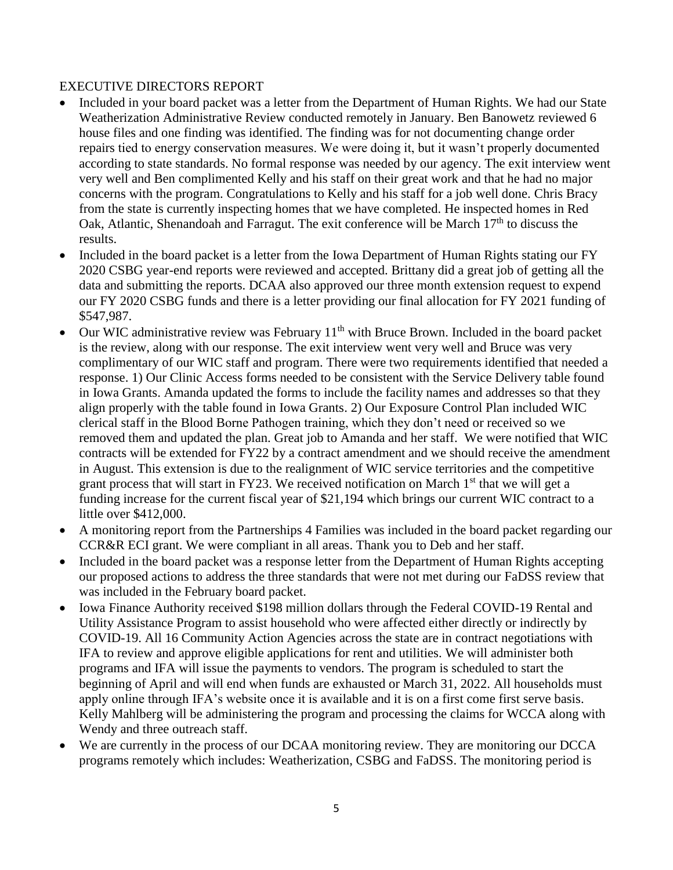## EXECUTIVE DIRECTORS REPORT

- Included in your board packet was a letter from the Department of Human Rights. We had our State Weatherization Administrative Review conducted remotely in January. Ben Banowetz reviewed 6 house files and one finding was identified. The finding was for not documenting change order repairs tied to energy conservation measures. We were doing it, but it wasn't properly documented according to state standards. No formal response was needed by our agency. The exit interview went very well and Ben complimented Kelly and his staff on their great work and that he had no major concerns with the program. Congratulations to Kelly and his staff for a job well done. Chris Bracy from the state is currently inspecting homes that we have completed. He inspected homes in Red Oak, Atlantic, Shenandoah and Farragut. The exit conference will be March  $17<sup>th</sup>$  to discuss the results.
- Included in the board packet is a letter from the Iowa Department of Human Rights stating our FY 2020 CSBG year-end reports were reviewed and accepted. Brittany did a great job of getting all the data and submitting the reports. DCAA also approved our three month extension request to expend our FY 2020 CSBG funds and there is a letter providing our final allocation for FY 2021 funding of \$547,987.
- Our WIC administrative review was February  $11<sup>th</sup>$  with Bruce Brown. Included in the board packet is the review, along with our response. The exit interview went very well and Bruce was very complimentary of our WIC staff and program. There were two requirements identified that needed a response. 1) Our Clinic Access forms needed to be consistent with the Service Delivery table found in Iowa Grants. Amanda updated the forms to include the facility names and addresses so that they align properly with the table found in Iowa Grants. 2) Our Exposure Control Plan included WIC clerical staff in the Blood Borne Pathogen training, which they don't need or received so we removed them and updated the plan. Great job to Amanda and her staff. We were notified that WIC contracts will be extended for FY22 by a contract amendment and we should receive the amendment in August. This extension is due to the realignment of WIC service territories and the competitive grant process that will start in FY23. We received notification on March  $1<sup>st</sup>$  that we will get a funding increase for the current fiscal year of \$21,194 which brings our current WIC contract to a little over \$412,000.
- A monitoring report from the Partnerships 4 Families was included in the board packet regarding our CCR&R ECI grant. We were compliant in all areas. Thank you to Deb and her staff.
- Included in the board packet was a response letter from the Department of Human Rights accepting our proposed actions to address the three standards that were not met during our FaDSS review that was included in the February board packet.
- Iowa Finance Authority received \$198 million dollars through the Federal COVID-19 Rental and Utility Assistance Program to assist household who were affected either directly or indirectly by COVID-19. All 16 Community Action Agencies across the state are in contract negotiations with IFA to review and approve eligible applications for rent and utilities. We will administer both programs and IFA will issue the payments to vendors. The program is scheduled to start the beginning of April and will end when funds are exhausted or March 31, 2022. All households must apply online through IFA's website once it is available and it is on a first come first serve basis. Kelly Mahlberg will be administering the program and processing the claims for WCCA along with Wendy and three outreach staff.
- We are currently in the process of our DCAA monitoring review. They are monitoring our DCCA programs remotely which includes: Weatherization, CSBG and FaDSS. The monitoring period is